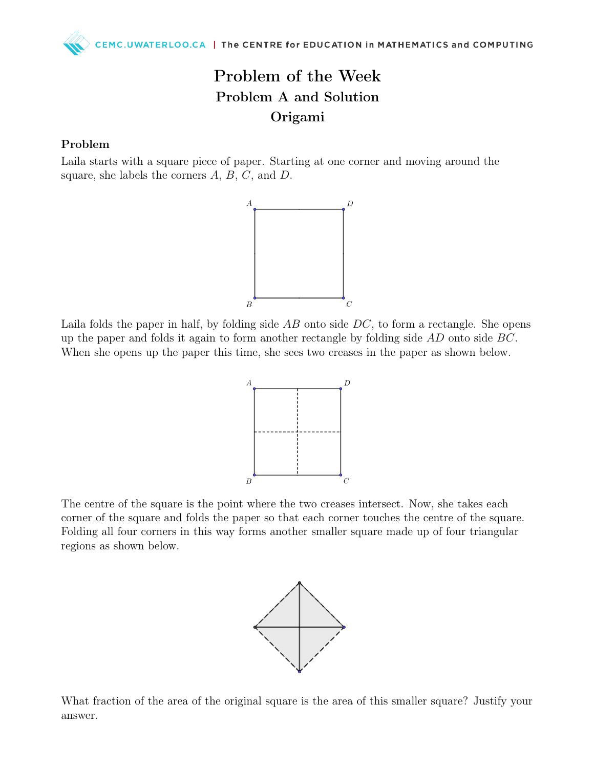## Problem of the Week Problem A and Solution Origami

## Problem

Laila starts with a square piece of paper. Starting at one corner and moving around the square, she labels the corners  $A, B, C$ , and  $D$ .



Laila folds the paper in half, by folding side  $AB$  onto side  $DC$ , to form a rectangle. She opens up the paper and folds it again to form another rectangle by folding side AD onto side BC. When she opens up the paper this time, she sees two creases in the paper as shown below.



The centre of the square is the point where the two creases intersect. Now, she takes each corner of the square and folds the paper so that each corner touches the centre of the square. Folding all four corners in this way forms another smaller square made up of four triangular regions as shown below.



What fraction of the area of the original square is the area of this smaller square? Justify your answer.